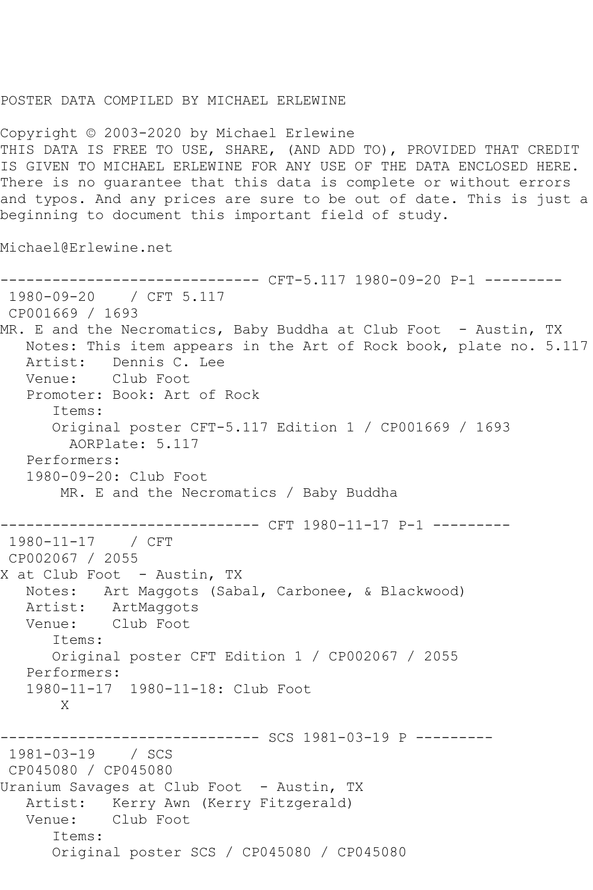## POSTER DATA COMPILED BY MICHAEL ERLEWINE

Copyright © 2003-2020 by Michael Erlewine THIS DATA IS FREE TO USE, SHARE, (AND ADD TO), PROVIDED THAT CREDIT IS GIVEN TO MICHAEL ERLEWINE FOR ANY USE OF THE DATA ENCLOSED HERE. There is no guarantee that this data is complete or without errors and typos. And any prices are sure to be out of date. This is just a beginning to document this important field of study.

Michael@Erlewine.net

------------------------------ CFT-5.117 1980-09-20 P-1 --------- 1980-09-20 / CFT 5.117 CP001669 / 1693 MR. E and the Necromatics, Baby Buddha at Club Foot - Austin, TX Notes: This item appears in the Art of Rock book, plate no. 5.117 Artist: Dennis C. Lee Venue: Club Foot Promoter: Book: Art of Rock Items: Original poster CFT-5.117 Edition 1 / CP001669 / 1693 AORPlate: 5.117 Performers: 1980-09-20: Club Foot MR. E and the Necromatics / Baby Buddha ------------------------------ CFT 1980-11-17 P-1 --------- 1980-11-17 / CFT CP002067 / 2055 X at Club Foot - Austin, TX Notes: Art Maggots (Sabal, Carbonee, & Blackwood) Artist: ArtMaggots Venue: Club Foot Items: Original poster CFT Edition 1 / CP002067 / 2055 Performers: 1980-11-17 1980-11-18: Club Foot X ------------------------------ SCS 1981-03-19 P --------- 1981-03-19 / SCS CP045080 / CP045080 Uranium Savages at Club Foot - Austin, TX Artist: Kerry Awn (Kerry Fitzgerald) Venue: Club Foot Items: Original poster SCS / CP045080 / CP045080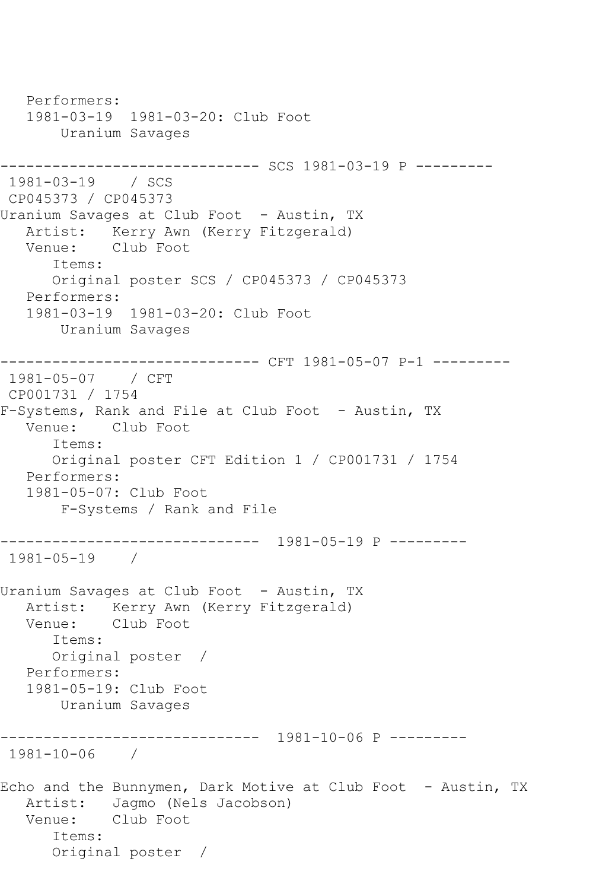Performers: 1981-03-19 1981-03-20: Club Foot Uranium Savages ------------------------------ SCS 1981-03-19 P --------- 1981-03-19 / SCS CP045373 / CP045373 Uranium Savages at Club Foot - Austin, TX Artist: Kerry Awn (Kerry Fitzgerald) Venue: Club Foot Items: Original poster SCS / CP045373 / CP045373 Performers: 1981-03-19 1981-03-20: Club Foot Uranium Savages ------------------------------ CFT 1981-05-07 P-1 --------- 1981-05-07 / CFT CP001731 / 1754 F-Systems, Rank and File at Club Foot - Austin, TX Venue: Club Foot Items: Original poster CFT Edition 1 / CP001731 / 1754 Performers: 1981-05-07: Club Foot F-Systems / Rank and File ------------------------------ 1981-05-19 P --------- 1981-05-19 / Uranium Savages at Club Foot - Austin, TX Artist: Kerry Awn (Kerry Fitzgerald)<br>Venue: Club Foot Club Foot Items: Original poster / Performers: 1981-05-19: Club Foot Uranium Savages ------------------------------ 1981-10-06 P --------- 1981-10-06 / Echo and the Bunnymen, Dark Motive at Club Foot - Austin, TX Artist: Jagmo (Nels Jacobson) Venue: Club Foot Items: Original poster /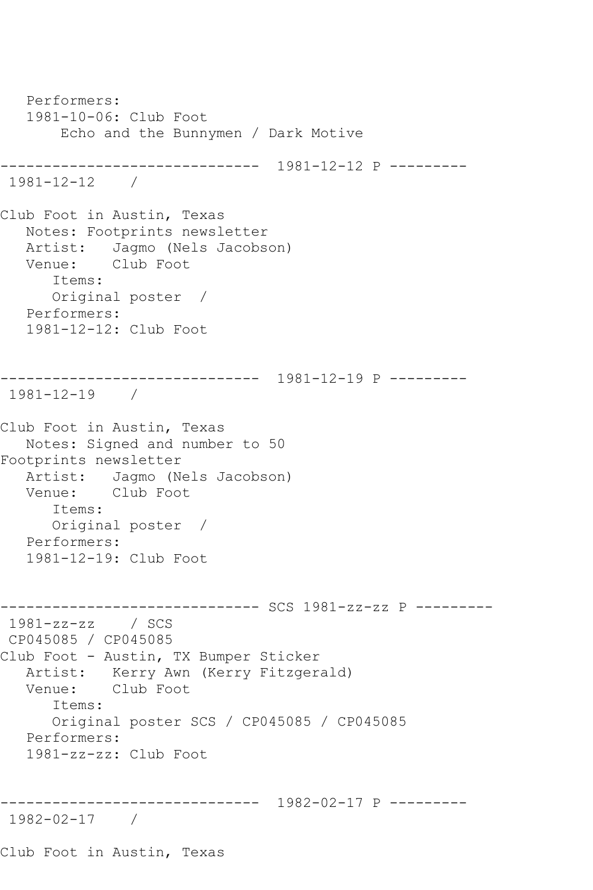```
 Performers:
    1981-10-06: Club Foot
        Echo and the Bunnymen / Dark Motive
------------------------------ 1981-12-12 P ---------
1981-12-12 / 
Club Foot in Austin, Texas
   Notes: Footprints newsletter
  Artist: Jagmo (Nels Jacobson)<br>Venue: Club Foot
           Club Foot
       Items:
       Original poster / 
   Performers:
    1981-12-12: Club Foot
------------------------------ 1981-12-19 P ---------
1981-12-19 / 
Club Foot in Austin, Texas
   Notes: Signed and number to 50
Footprints newsletter
   Artist: Jagmo (Nels Jacobson)
   Venue: Club Foot
       Items:
       Original poster / 
   Performers:
   1981-12-19: Club Foot
------------------------------ SCS 1981-zz-zz P ---------
1981-zz-zz / SCS 
CP045085 / CP045085
Club Foot - Austin, TX Bumper Sticker
  Artist: Kerry Awn (Kerry Fitzgerald)<br>Venue: Club Foot
           Club Foot
       Items:
       Original poster SCS / CP045085 / CP045085
   Performers:
   1981-zz-zz: Club Foot
------------------------------ 1982-02-17 P ---------
1982-02-17 / 
Club Foot in Austin, Texas
```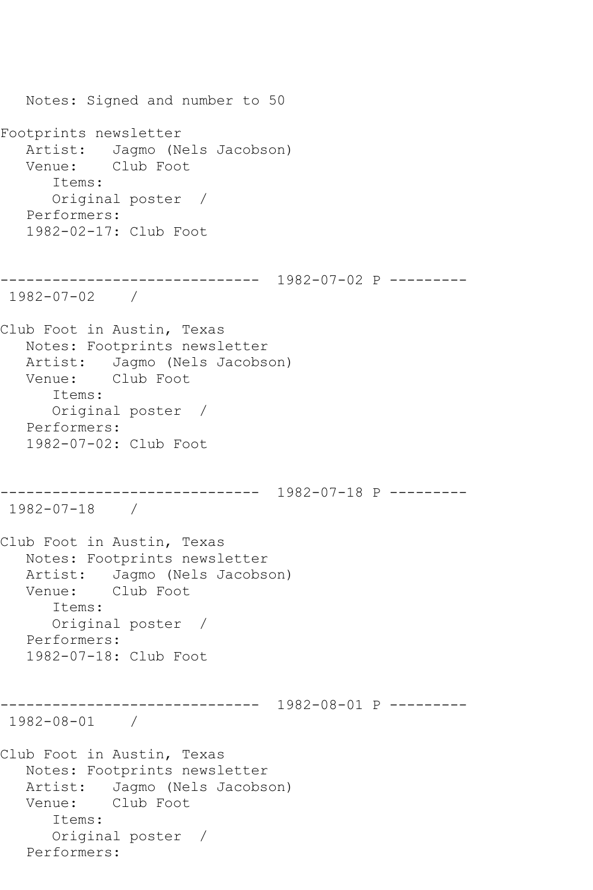Notes: Signed and number to 50 Footprints newsletter Artist: Jagmo (Nels Jacobson) Venue: Club Foot Items: Original poster / Performers: 1982-02-17: Club Foot ------------------------------ 1982-07-02 P --------- 1982-07-02 / Club Foot in Austin, Texas Notes: Footprints newsletter Artist: Jagmo (Nels Jacobson) Venue: Club Foot Items: Original poster / Performers: 1982-07-02: Club Foot ------------------------------ 1982-07-18 P --------- 1982-07-18 / Club Foot in Austin, Texas Notes: Footprints newsletter Artist: Jagmo (Nels Jacobson)<br>Venue: Club Foot Club Foot Items: Original poster / Performers: 1982-07-18: Club Foot ------------------------------ 1982-08-01 P --------- 1982-08-01 / Club Foot in Austin, Texas Notes: Footprints newsletter Artist: Jagmo (Nels Jacobson) Venue: Club Foot Items: Original poster / Performers: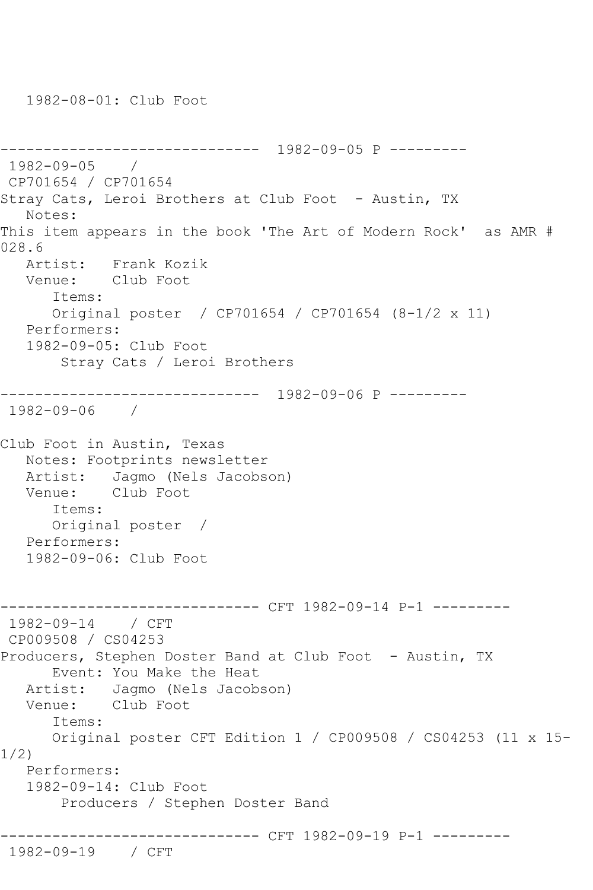1982-08-01: Club Foot

```
------------------------------ 1982-09-05 P ---------
1982-09-05 / 
CP701654 / CP701654
Stray Cats, Leroi Brothers at Club Foot - Austin, TX
   Notes: 
This item appears in the book 'The Art of Modern Rock' as AMR # 
028.6
   Artist: Frank Kozik
   Venue: Club Foot
      Items:
      Original poster / CP701654 / CP701654 (8-1/2 x 11)
   Performers:
   1982-09-05: Club Foot
       Stray Cats / Leroi Brothers
    ------------------------------ 1982-09-06 P ---------
1982-09-06 / 
Club Foot in Austin, Texas
   Notes: Footprints newsletter
   Artist: Jagmo (Nels Jacobson)
   Venue: Club Foot
      Items:
      Original poster / 
   Performers:
   1982-09-06: Club Foot
                  ------------ CFT 1982-09-14 P-1 ---------
1982-09-14 / CFT 
CP009508 / CS04253
Producers, Stephen Doster Band at Club Foot - Austin, TX
      Event: You Make the Heat
   Artist: Jagmo (Nels Jacobson)
   Venue: Club Foot
      Items:
      Original poster CFT Edition 1 / CP009508 / CS04253 (11 x 15-
1/2)
   Performers:
   1982-09-14: Club Foot
        Producers / Stephen Doster Band
------------------------------ CFT 1982-09-19 P-1 ---------
1982-09-19 / CFT
```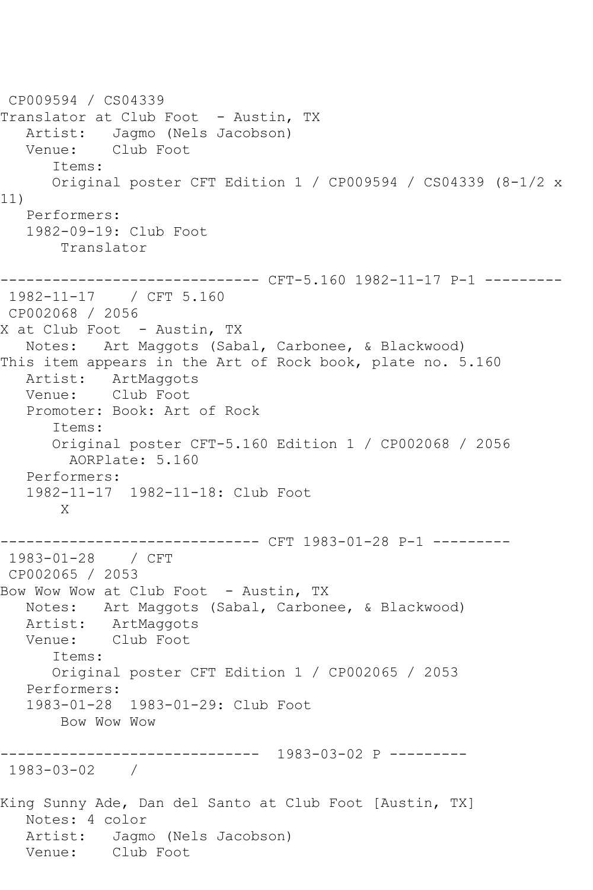CP009594 / CS04339 Translator at Club Foot - Austin, TX Artist: Jagmo (Nels Jacobson) Venue: Club Foot Items: Original poster CFT Edition 1 / CP009594 / CS04339 (8-1/2 x 11) Performers: 1982-09-19: Club Foot Translator ------------------------------ CFT-5.160 1982-11-17 P-1 --------- 1982-11-17 / CFT 5.160 CP002068 / 2056 X at Club Foot - Austin, TX Notes: Art Maggots (Sabal, Carbonee, & Blackwood) This item appears in the Art of Rock book, plate no. 5.160 Artist: ArtMaggots Venue: Club Foot Promoter: Book: Art of Rock Items: Original poster CFT-5.160 Edition 1 / CP002068 / 2056 AORPlate: 5.160 Performers: 1982-11-17 1982-11-18: Club Foot X ------------------------------ CFT 1983-01-28 P-1 --------- 1983-01-28 / CFT CP002065 / 2053 Bow Wow Wow at Club Foot - Austin, TX Notes: Art Maggots (Sabal, Carbonee, & Blackwood) Artist: ArtMaggots<br>Venue: Club Foot Club Foot Items: Original poster CFT Edition 1 / CP002065 / 2053 Performers: 1983-01-28 1983-01-29: Club Foot Bow Wow Wow ------------------------------ 1983-03-02 P --------- 1983-03-02 / King Sunny Ade, Dan del Santo at Club Foot [Austin, TX] Notes: 4 color Artist: Jagmo (Nels Jacobson) Venue: Club Foot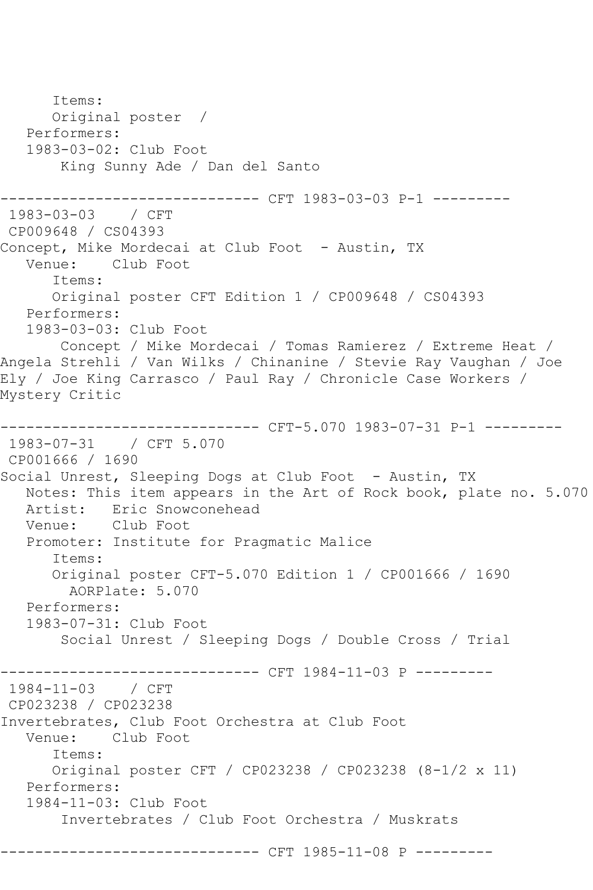Items: Original poster / Performers: 1983-03-02: Club Foot King Sunny Ade / Dan del Santo ------------- CFT 1983-03-03 P-1 ---------1983-03-03 / CFT CP009648 / CS04393 Concept, Mike Mordecai at Club Foot - Austin, TX<br>Venue: Club Foot Club Foot Items: Original poster CFT Edition 1 / CP009648 / CS04393 Performers: 1983-03-03: Club Foot Concept / Mike Mordecai / Tomas Ramierez / Extreme Heat / Angela Strehli / Van Wilks / Chinanine / Stevie Ray Vaughan / Joe Ely / Joe King Carrasco / Paul Ray / Chronicle Case Workers / Mystery Critic ------------------------------ CFT-5.070 1983-07-31 P-1 --------- 1983-07-31 / CFT 5.070 CP001666 / 1690 Social Unrest, Sleeping Dogs at Club Foot - Austin, TX Notes: This item appears in the Art of Rock book, plate no. 5.070 Artist: Eric Snowconehead Venue: Club Foot Promoter: Institute for Pragmatic Malice Items: Original poster CFT-5.070 Edition 1 / CP001666 / 1690 AORPlate: 5.070 Performers: 1983-07-31: Club Foot Social Unrest / Sleeping Dogs / Double Cross / Trial --------------- CFT 1984-11-03 P ---------1984-11-03 / CFT CP023238 / CP023238 Invertebrates, Club Foot Orchestra at Club Foot Club Foot Items: Original poster CFT / CP023238 / CP023238 (8-1/2 x 11) Performers: 1984-11-03: Club Foot Invertebrates / Club Foot Orchestra / Muskrats ------------ CFT 1985-11-08 P ---------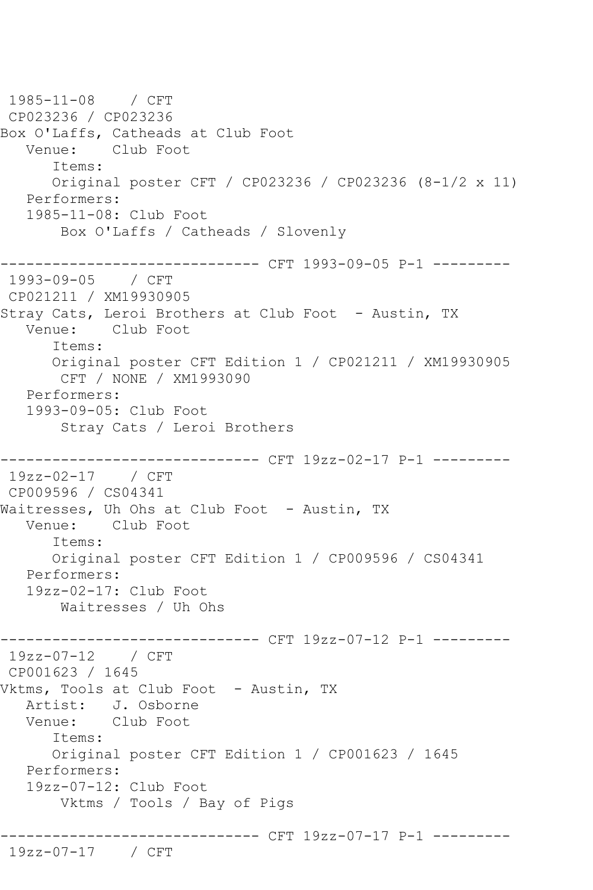1985-11-08 / CFT CP023236 / CP023236 Box O'Laffs, Catheads at Club Foot Venue: Club Foot Items: Original poster CFT / CP023236 / CP023236 (8-1/2 x 11) Performers: 1985-11-08: Club Foot Box O'Laffs / Catheads / Slovenly ------------------------------ CFT 1993-09-05 P-1 --------- 1993-09-05 / CFT CP021211 / XM19930905 Stray Cats, Leroi Brothers at Club Foot - Austin, TX Venue: Club Foot Items: Original poster CFT Edition 1 / CP021211 / XM19930905 CFT / NONE / XM1993090 Performers: 1993-09-05: Club Foot Stray Cats / Leroi Brothers ------------------------------ CFT 19zz-02-17 P-1 --------- 19zz-02-17 / CFT CP009596 / CS04341 Waitresses, Uh Ohs at Club Foot - Austin, TX<br>Venue: Club Foot Club Foot Items: Original poster CFT Edition 1 / CP009596 / CS04341 Performers: 19zz-02-17: Club Foot Waitresses / Uh Ohs ------------------------------ CFT 19zz-07-12 P-1 --------- 19zz-07-12 / CFT CP001623 / 1645 Vktms, Tools at Club Foot - Austin, TX Artist: J. Osborne Venue: Club Foot Items: Original poster CFT Edition 1 / CP001623 / 1645 Performers: 19zz-07-12: Club Foot Vktms / Tools / Bay of Pigs ------------------------------ CFT 19zz-07-17 P-1 --------- 19zz-07-17 / CFT